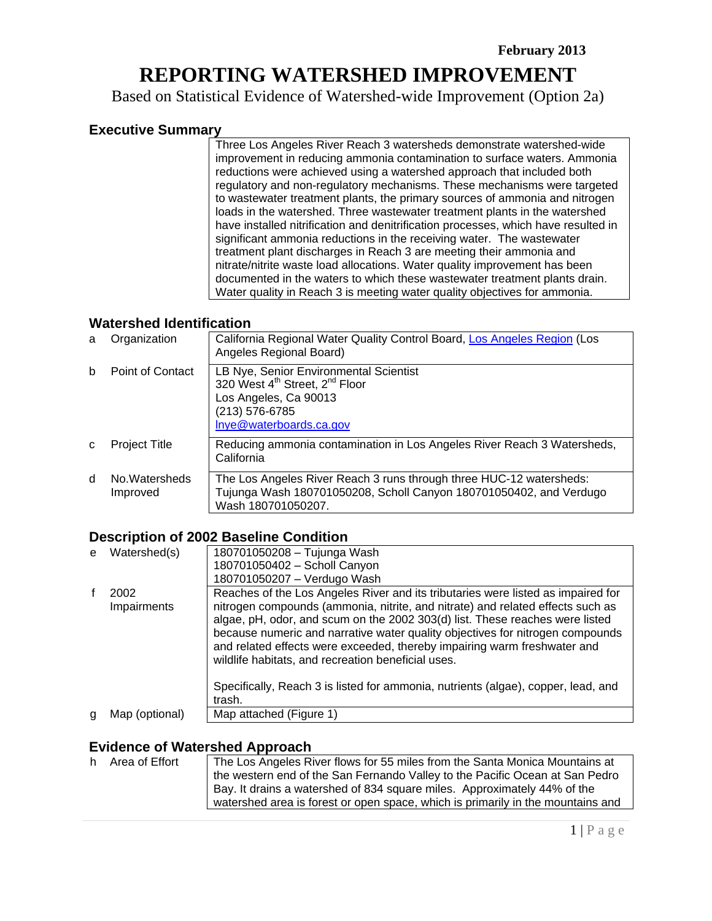# **REPORTING WATERSHED IMPROVEMENT**

Based on Statistical Evidence of Watershed-wide Improvement (Option 2a)

### **Executive Summary**

Three Los Angeles River Reach 3 watersheds demonstrate watershed-wide improvement in reducing ammonia contamination to surface waters. Ammonia reductions were achieved using a watershed approach that included both regulatory and non-regulatory mechanisms. These mechanisms were targeted to wastewater treatment plants, the primary sources of ammonia and nitrogen loads in the watershed. Three wastewater treatment plants in the watershed have installed nitrification and denitrification processes, which have resulted in significant ammonia reductions in the receiving water. The wastewater treatment plant discharges in Reach 3 are meeting their ammonia and nitrate/nitrite waste load allocations. Water quality improvement has been documented in the waters to which these wastewater treatment plants drain. Water quality in Reach 3 is meeting water quality objectives for ammonia.

#### **Watershed Identification**

| a | Organization              | California Regional Water Quality Control Board, Los Angeles Region (Los<br>Angeles Regional Board)                                                                    |
|---|---------------------------|------------------------------------------------------------------------------------------------------------------------------------------------------------------------|
| b | Point of Contact          | LB Nye, Senior Environmental Scientist<br>320 West 4 <sup>th</sup> Street, 2 <sup>nd</sup> Floor<br>Los Angeles, Ca 90013<br>(213) 576-6785<br>Inye@waterboards.ca.gov |
| C | <b>Project Title</b>      | Reducing ammonia contamination in Los Angeles River Reach 3 Watersheds,<br>California                                                                                  |
| d | No Watersheds<br>Improved | The Los Angeles River Reach 3 runs through three HUC-12 watersheds:<br>Tujunga Wash 180701050208, Scholl Canyon 180701050402, and Verdugo<br>Wash 180701050207.        |

#### **Description of 2002 Baseline Condition**

| e | Watershed(s)   | 180701050208 - Tujunga Wash                                                                                                                                                                                                                                                                                                                                                       |
|---|----------------|-----------------------------------------------------------------------------------------------------------------------------------------------------------------------------------------------------------------------------------------------------------------------------------------------------------------------------------------------------------------------------------|
|   |                | 180701050402 - Scholl Canyon                                                                                                                                                                                                                                                                                                                                                      |
|   |                | 180701050207 - Verdugo Wash                                                                                                                                                                                                                                                                                                                                                       |
|   | 2002           | Reaches of the Los Angeles River and its tributaries were listed as impaired for                                                                                                                                                                                                                                                                                                  |
|   | Impairments    | nitrogen compounds (ammonia, nitrite, and nitrate) and related effects such as<br>algae, pH, odor, and scum on the 2002 303(d) list. These reaches were listed<br>because numeric and narrative water quality objectives for nitrogen compounds<br>and related effects were exceeded, thereby impairing warm freshwater and<br>wildlife habitats, and recreation beneficial uses. |
|   |                | Specifically, Reach 3 is listed for ammonia, nutrients (algae), copper, lead, and<br>trash.                                                                                                                                                                                                                                                                                       |
| a | Map (optional) | Map attached (Figure 1)                                                                                                                                                                                                                                                                                                                                                           |

#### **Evidence of Watershed Approach**

| h. | Area of Effort | The Los Angeles River flows for 55 miles from the Santa Monica Mountains at<br>the western end of the San Fernando Valley to the Pacific Ocean at San Pedro |
|----|----------------|-------------------------------------------------------------------------------------------------------------------------------------------------------------|
|    |                | Bay. It drains a watershed of 834 square miles. Approximately 44% of the<br>watershed area is forest or open space, which is primarily in the mountains and |
|    |                |                                                                                                                                                             |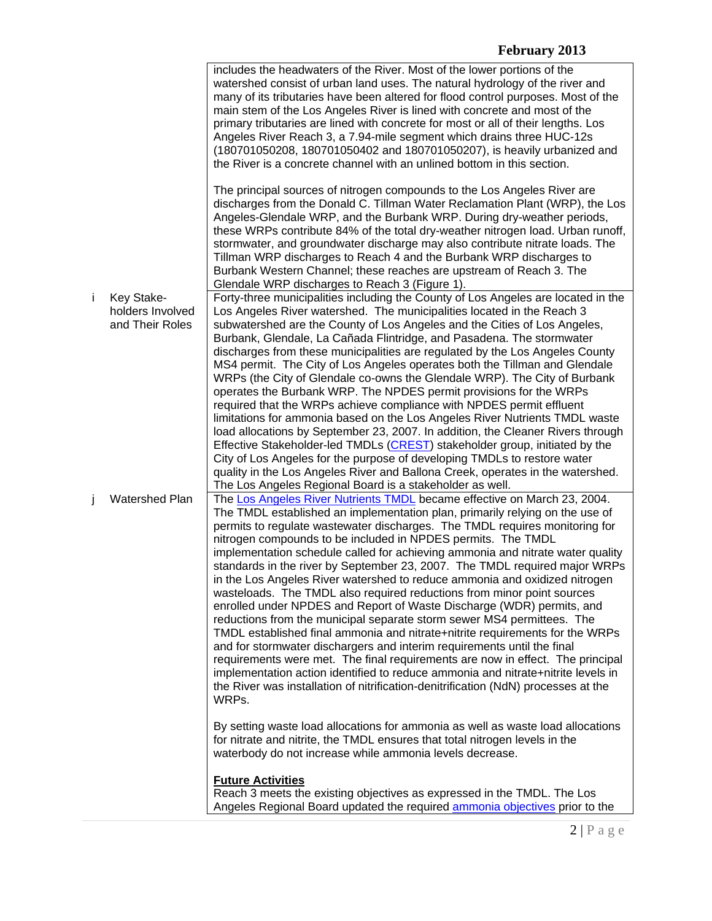|    |                                                   | includes the headwaters of the River. Most of the lower portions of the<br>watershed consist of urban land uses. The natural hydrology of the river and<br>many of its tributaries have been altered for flood control purposes. Most of the<br>main stem of the Los Angeles River is lined with concrete and most of the<br>primary tributaries are lined with concrete for most or all of their lengths. Los<br>Angeles River Reach 3, a 7.94-mile segment which drains three HUC-12s<br>(180701050208, 180701050402 and 180701050207), is heavily urbanized and<br>the River is a concrete channel with an unlined bottom in this section.                                                                                                                                                                                                                                                                                                                                                                                                                                                                                                                                                                                                                                                                                                                                                                                                                                                                                                                                                                                          |
|----|---------------------------------------------------|----------------------------------------------------------------------------------------------------------------------------------------------------------------------------------------------------------------------------------------------------------------------------------------------------------------------------------------------------------------------------------------------------------------------------------------------------------------------------------------------------------------------------------------------------------------------------------------------------------------------------------------------------------------------------------------------------------------------------------------------------------------------------------------------------------------------------------------------------------------------------------------------------------------------------------------------------------------------------------------------------------------------------------------------------------------------------------------------------------------------------------------------------------------------------------------------------------------------------------------------------------------------------------------------------------------------------------------------------------------------------------------------------------------------------------------------------------------------------------------------------------------------------------------------------------------------------------------------------------------------------------------|
|    |                                                   | The principal sources of nitrogen compounds to the Los Angeles River are<br>discharges from the Donald C. Tillman Water Reclamation Plant (WRP), the Los<br>Angeles-Glendale WRP, and the Burbank WRP. During dry-weather periods,<br>these WRPs contribute 84% of the total dry-weather nitrogen load. Urban runoff,<br>stormwater, and groundwater discharge may also contribute nitrate loads. The<br>Tillman WRP discharges to Reach 4 and the Burbank WRP discharges to<br>Burbank Western Channel; these reaches are upstream of Reach 3. The<br>Glendale WRP discharges to Reach 3 (Figure 1).                                                                                                                                                                                                                                                                                                                                                                                                                                                                                                                                                                                                                                                                                                                                                                                                                                                                                                                                                                                                                                  |
| j. | Key Stake-<br>holders Involved<br>and Their Roles | Forty-three municipalities including the County of Los Angeles are located in the<br>Los Angeles River watershed. The municipalities located in the Reach 3<br>subwatershed are the County of Los Angeles and the Cities of Los Angeles,<br>Burbank, Glendale, La Cañada Flintridge, and Pasadena. The stormwater<br>discharges from these municipalities are regulated by the Los Angeles County<br>MS4 permit. The City of Los Angeles operates both the Tillman and Glendale<br>WRPs (the City of Glendale co-owns the Glendale WRP). The City of Burbank<br>operates the Burbank WRP. The NPDES permit provisions for the WRPs<br>required that the WRPs achieve compliance with NPDES permit effluent<br>limitations for ammonia based on the Los Angeles River Nutrients TMDL waste<br>load allocations by September 23, 2007. In addition, the Cleaner Rivers through<br>Effective Stakeholder-led TMDLs (CREST) stakeholder group, initiated by the<br>City of Los Angeles for the purpose of developing TMDLs to restore water<br>quality in the Los Angeles River and Ballona Creek, operates in the watershed.<br>The Los Angeles Regional Board is a stakeholder as well.                                                                                                                                                                                                                                                                                                                                                                                                                                                  |
| Ĵ  | <b>Watershed Plan</b>                             | The Los Angeles River Nutrients TMDL became effective on March 23, 2004.<br>The TMDL established an implementation plan, primarily relying on the use of<br>permits to regulate wastewater discharges. The TMDL requires monitoring for<br>nitrogen compounds to be included in NPDES permits. The TMDL<br>implementation schedule called for achieving ammonia and nitrate water quality<br>standards in the river by September 23, 2007. The TMDL required major WRPs<br>in the Los Angeles River watershed to reduce ammonia and oxidized nitrogen<br>wasteloads. The TMDL also required reductions from minor point sources<br>enrolled under NPDES and Report of Waste Discharge (WDR) permits, and<br>reductions from the municipal separate storm sewer MS4 permittees. The<br>TMDL established final ammonia and nitrate+nitrite requirements for the WRPs<br>and for stormwater dischargers and interim requirements until the final<br>requirements were met. The final requirements are now in effect. The principal<br>implementation action identified to reduce ammonia and nitrate+nitrite levels in<br>the River was installation of nitrification-denitrification (NdN) processes at the<br>WRPs.<br>By setting waste load allocations for ammonia as well as waste load allocations<br>for nitrate and nitrite, the TMDL ensures that total nitrogen levels in the<br>waterbody do not increase while ammonia levels decrease.<br><b>Future Activities</b><br>Reach 3 meets the existing objectives as expressed in the TMDL. The Los<br>Angeles Regional Board updated the required ammonia objectives prior to the |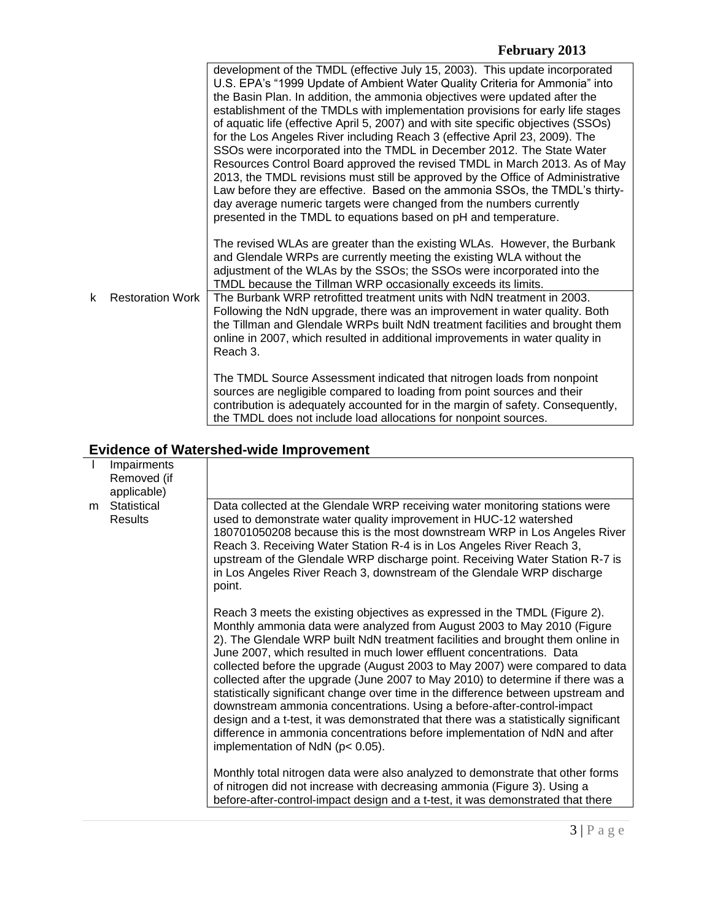## **February 2013**

|                                               | development of the TMDL (effective July 15, 2003). This update incorporated<br>U.S. EPA's "1999 Update of Ambient Water Quality Criteria for Ammonia" into<br>the Basin Plan. In addition, the ammonia objectives were updated after the<br>establishment of the TMDLs with implementation provisions for early life stages<br>of aquatic life (effective April 5, 2007) and with site specific objectives (SSOs)<br>for the Los Angeles River including Reach 3 (effective April 23, 2009). The<br>SSOs were incorporated into the TMDL in December 2012. The State Water<br>Resources Control Board approved the revised TMDL in March 2013. As of May<br>2013, the TMDL revisions must still be approved by the Office of Administrative<br>Law before they are effective. Based on the ammonia SSOs, the TMDL's thirty-<br>day average numeric targets were changed from the numbers currently<br>presented in the TMDL to equations based on pH and temperature. |  |
|-----------------------------------------------|-----------------------------------------------------------------------------------------------------------------------------------------------------------------------------------------------------------------------------------------------------------------------------------------------------------------------------------------------------------------------------------------------------------------------------------------------------------------------------------------------------------------------------------------------------------------------------------------------------------------------------------------------------------------------------------------------------------------------------------------------------------------------------------------------------------------------------------------------------------------------------------------------------------------------------------------------------------------------|--|
| <b>Restoration Work</b><br>k                  | The revised WLAs are greater than the existing WLAs. However, the Burbank<br>and Glendale WRPs are currently meeting the existing WLA without the<br>adjustment of the WLAs by the SSOs; the SSOs were incorporated into the<br>TMDL because the Tillman WRP occasionally exceeds its limits.<br>The Burbank WRP retrofitted treatment units with NdN treatment in 2003.                                                                                                                                                                                                                                                                                                                                                                                                                                                                                                                                                                                              |  |
|                                               | Following the NdN upgrade, there was an improvement in water quality. Both<br>the Tillman and Glendale WRPs built NdN treatment facilities and brought them<br>online in 2007, which resulted in additional improvements in water quality in<br>Reach 3.                                                                                                                                                                                                                                                                                                                                                                                                                                                                                                                                                                                                                                                                                                              |  |
|                                               | The TMDL Source Assessment indicated that nitrogen loads from nonpoint<br>sources are negligible compared to loading from point sources and their<br>contribution is adequately accounted for in the margin of safety. Consequently,<br>the TMDL does not include load allocations for nonpoint sources.                                                                                                                                                                                                                                                                                                                                                                                                                                                                                                                                                                                                                                                              |  |
| <b>Evidence of Watershed-wide Improvement</b> |                                                                                                                                                                                                                                                                                                                                                                                                                                                                                                                                                                                                                                                                                                                                                                                                                                                                                                                                                                       |  |

|   | Evidence of watershed-wide improvement    |                                                                                                                                                                                                                                                                                                                                                                                                                                                                                                                                                                                                                                                                                                                                                                                                                                                                   |
|---|-------------------------------------------|-------------------------------------------------------------------------------------------------------------------------------------------------------------------------------------------------------------------------------------------------------------------------------------------------------------------------------------------------------------------------------------------------------------------------------------------------------------------------------------------------------------------------------------------------------------------------------------------------------------------------------------------------------------------------------------------------------------------------------------------------------------------------------------------------------------------------------------------------------------------|
|   | Impairments<br>Removed (if<br>applicable) |                                                                                                                                                                                                                                                                                                                                                                                                                                                                                                                                                                                                                                                                                                                                                                                                                                                                   |
| m | Statistical<br><b>Results</b>             | Data collected at the Glendale WRP receiving water monitoring stations were<br>used to demonstrate water quality improvement in HUC-12 watershed<br>180701050208 because this is the most downstream WRP in Los Angeles River<br>Reach 3. Receiving Water Station R-4 is in Los Angeles River Reach 3,<br>upstream of the Glendale WRP discharge point. Receiving Water Station R-7 is<br>in Los Angeles River Reach 3, downstream of the Glendale WRP discharge<br>point.                                                                                                                                                                                                                                                                                                                                                                                        |
|   |                                           | Reach 3 meets the existing objectives as expressed in the TMDL (Figure 2).<br>Monthly ammonia data were analyzed from August 2003 to May 2010 (Figure<br>2). The Glendale WRP built NdN treatment facilities and brought them online in<br>June 2007, which resulted in much lower effluent concentrations. Data<br>collected before the upgrade (August 2003 to May 2007) were compared to data<br>collected after the upgrade (June 2007 to May 2010) to determine if there was a<br>statistically significant change over time in the difference between upstream and<br>downstream ammonia concentrations. Using a before-after-control-impact<br>design and a t-test, it was demonstrated that there was a statistically significant<br>difference in ammonia concentrations before implementation of NdN and after<br>implementation of NdN ( $p < 0.05$ ). |
|   |                                           | Monthly total nitrogen data were also analyzed to demonstrate that other forms<br>of nitrogen did not increase with decreasing ammonia (Figure 3). Using a<br>before-after-control-impact design and a t-test, it was demonstrated that there                                                                                                                                                                                                                                                                                                                                                                                                                                                                                                                                                                                                                     |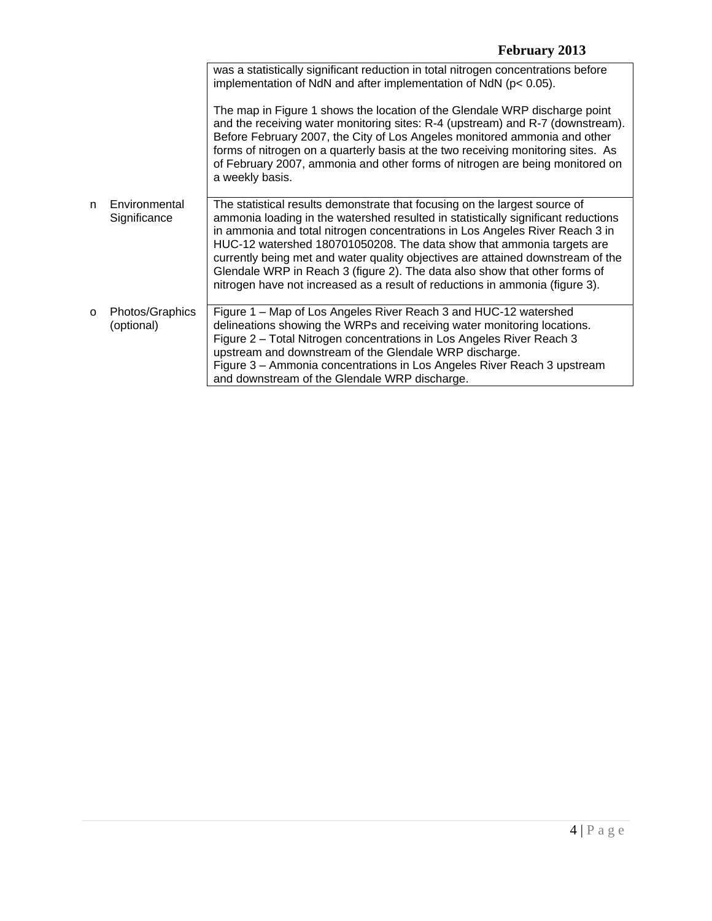|   |                               | was a statistically significant reduction in total nitrogen concentrations before<br>implementation of NdN and after implementation of NdN ( $p < 0.05$ ).                                                                                                                                                                                                                                                                                                                                                                                                                |
|---|-------------------------------|---------------------------------------------------------------------------------------------------------------------------------------------------------------------------------------------------------------------------------------------------------------------------------------------------------------------------------------------------------------------------------------------------------------------------------------------------------------------------------------------------------------------------------------------------------------------------|
|   |                               | The map in Figure 1 shows the location of the Glendale WRP discharge point<br>and the receiving water monitoring sites: R-4 (upstream) and R-7 (downstream).<br>Before February 2007, the City of Los Angeles monitored ammonia and other<br>forms of nitrogen on a quarterly basis at the two receiving monitoring sites. As<br>of February 2007, ammonia and other forms of nitrogen are being monitored on<br>a weekly basis.                                                                                                                                          |
| n | Environmental<br>Significance | The statistical results demonstrate that focusing on the largest source of<br>ammonia loading in the watershed resulted in statistically significant reductions<br>in ammonia and total nitrogen concentrations in Los Angeles River Reach 3 in<br>HUC-12 watershed 180701050208. The data show that ammonia targets are<br>currently being met and water quality objectives are attained downstream of the<br>Glendale WRP in Reach 3 (figure 2). The data also show that other forms of<br>nitrogen have not increased as a result of reductions in ammonia (figure 3). |
| O | Photos/Graphics<br>(optional) | Figure 1 – Map of Los Angeles River Reach 3 and HUC-12 watershed<br>delineations showing the WRPs and receiving water monitoring locations.<br>Figure 2 - Total Nitrogen concentrations in Los Angeles River Reach 3<br>upstream and downstream of the Glendale WRP discharge.<br>Figure 3 - Ammonia concentrations in Los Angeles River Reach 3 upstream<br>and downstream of the Glendale WRP discharge.                                                                                                                                                                |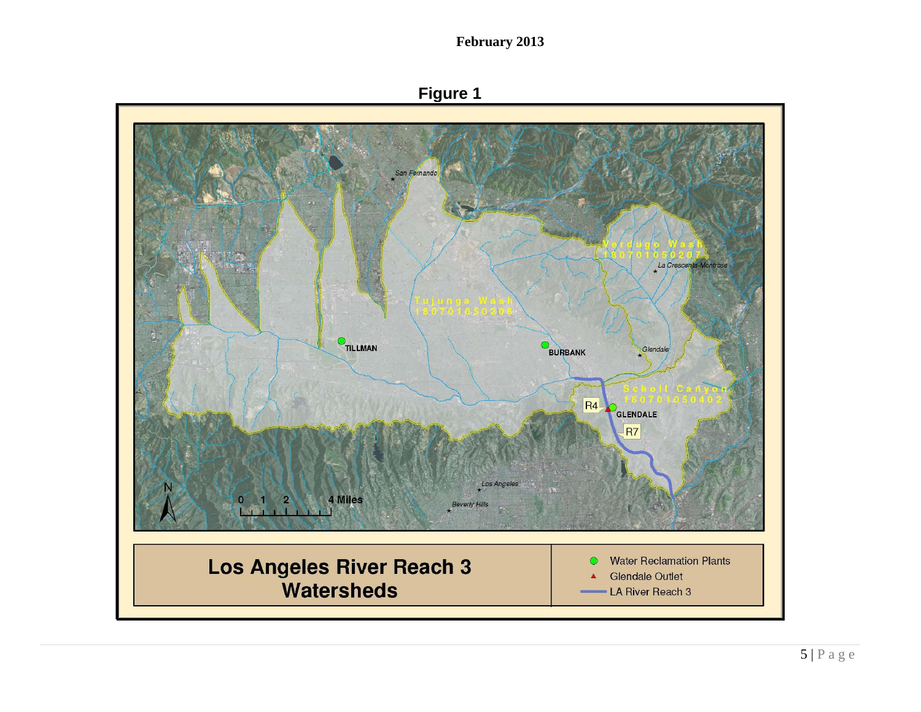